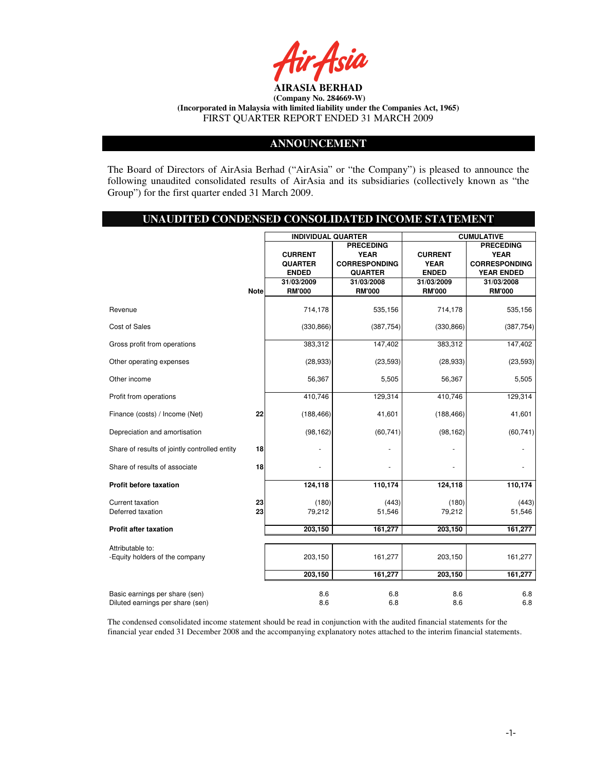

### **ANNOUNCEMENT**

The Board of Directors of AirAsia Berhad ("AirAsia" or "the Company") is pleased to announce the following unaudited consolidated results of AirAsia and its subsidiaries (collectively known as "the Group") for the first quarter ended 31 March 2009.

#### **UNAUDITED CONDENSED CONSOLIDATED INCOME STATEMENT**

|                                                    |             | <b>INDIVIDUAL QUARTER</b> |                      |                | <b>CUMULATIVE</b>    |
|----------------------------------------------------|-------------|---------------------------|----------------------|----------------|----------------------|
|                                                    |             |                           | <b>PRECEDING</b>     |                | <b>PRECEDING</b>     |
|                                                    |             | <b>CURRENT</b>            | <b>YEAR</b>          | <b>CURRENT</b> | <b>YEAR</b>          |
|                                                    |             | <b>QUARTER</b>            | <b>CORRESPONDING</b> | <b>YEAR</b>    | <b>CORRESPONDING</b> |
|                                                    |             | <b>ENDED</b>              | <b>QUARTER</b>       | <b>ENDED</b>   | <b>YEAR ENDED</b>    |
|                                                    |             | 31/03/2009                | 31/03/2008           | 31/03/2009     | 31/03/2008           |
|                                                    | <b>Note</b> | <b>RM'000</b>             | <b>RM'000</b>        | <b>RM'000</b>  | <b>RM'000</b>        |
| Revenue                                            |             | 714,178                   | 535,156              | 714,178        | 535,156              |
| Cost of Sales                                      |             | (330, 866)                | (387, 754)           | (330, 866)     | (387, 754)           |
| Gross profit from operations                       |             | 383,312                   | 147,402              | 383,312        | 147,402              |
| Other operating expenses                           |             | (28, 933)                 | (23, 593)            | (28, 933)      | (23, 593)            |
| Other income                                       |             | 56,367                    | 5,505                | 56,367         | 5,505                |
| Profit from operations                             |             | 410,746                   | 129,314              | 410,746        | 129,314              |
| Finance (costs) / Income (Net)                     | 22          | (188, 466)                | 41,601               | (188, 466)     | 41,601               |
| Depreciation and amortisation                      |             | (98, 162)                 | (60, 741)            | (98, 162)      | (60, 741)            |
| Share of results of jointly controlled entity      | 18          |                           |                      |                |                      |
| Share of results of associate                      | 18          |                           |                      |                |                      |
| Profit before taxation                             |             | 124,118                   | 110,174              | 124,118        | 110,174              |
| <b>Current taxation</b>                            | 23          | (180)                     | (443)                | (180)          | (443)                |
| Deferred taxation                                  | 23          | 79,212                    | 51,546               | 79,212         | 51,546               |
| <b>Profit after taxation</b>                       |             | 203,150                   | 161,277              | 203,150        | 161,277              |
|                                                    |             |                           |                      |                |                      |
| Attributable to:<br>-Equity holders of the company |             | 203,150                   | 161,277              | 203,150        | 161,277              |
|                                                    |             | 203,150                   | 161,277              | 203,150        | 161,277              |
| Basic earnings per share (sen)                     |             | 8.6                       | 6.8                  | 8.6            | 6.8                  |
| Diluted earnings per share (sen)                   |             | 8.6                       | 6.8                  | 8.6            | 6.8                  |

The condensed consolidated income statement should be read in conjunction with the audited financial statements for the financial year ended 31 December 2008 and the accompanying explanatory notes attached to the interim financial statements.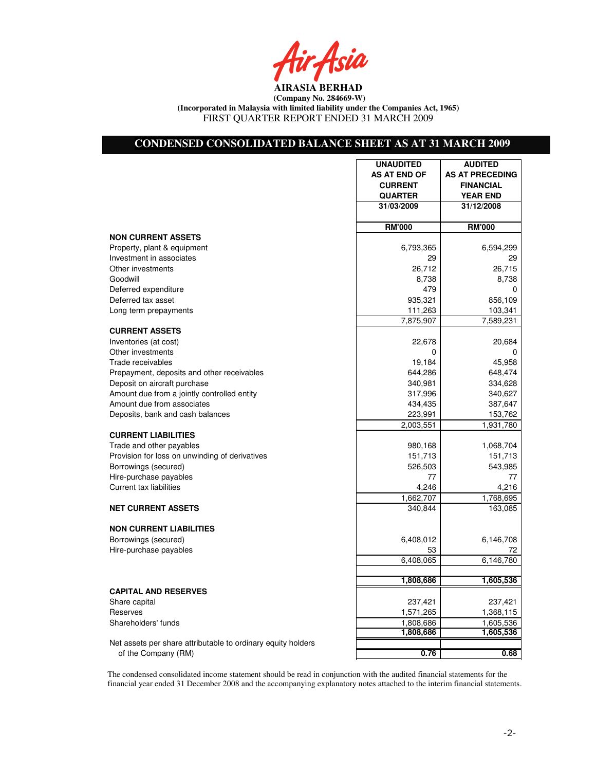Air Asia

# **CONDENSED CONSOLIDATED BALANCE SHEET AS AT 31 MARCH 2009**

|                                                              | <b>UNAUDITED</b>    | <b>AUDITED</b>         |
|--------------------------------------------------------------|---------------------|------------------------|
|                                                              | <b>AS AT END OF</b> | <b>AS AT PRECEDING</b> |
|                                                              | <b>CURRENT</b>      | <b>FINANCIAL</b>       |
|                                                              | <b>QUARTER</b>      | <b>YEAR END</b>        |
|                                                              | 31/03/2009          | 31/12/2008             |
|                                                              |                     |                        |
|                                                              | <b>RM'000</b>       | <b>RM'000</b>          |
| <b>NON CURRENT ASSETS</b>                                    |                     |                        |
| Property, plant & equipment                                  | 6,793,365           | 6,594,299              |
| Investment in associates                                     | 29                  | 29                     |
| Other investments                                            | 26,712              | 26,715                 |
| Goodwill                                                     | 8,738               | 8,738                  |
| Deferred expenditure                                         | 479                 | 0                      |
| Deferred tax asset                                           | 935,321             | 856,109                |
| Long term prepayments                                        | 111,263             | 103,341                |
|                                                              | 7,875,907           | 7,589,231              |
| <b>CURRENT ASSETS</b>                                        |                     |                        |
| Inventories (at cost)                                        | 22,678              | 20,684                 |
| Other investments                                            | $\Omega$            | 0                      |
| Trade receivables                                            | 19,184              | 45,958                 |
| Prepayment, deposits and other receivables                   | 644,286             | 648,474                |
| Deposit on aircraft purchase                                 | 340,981             | 334,628                |
| Amount due from a jointly controlled entity                  | 317,996             | 340,627                |
| Amount due from associates                                   | 434,435             | 387,647                |
| Deposits, bank and cash balances                             | 223,991             | 153,762                |
|                                                              | 2,003,551           | 1,931,780              |
| <b>CURRENT LIABILITIES</b>                                   |                     |                        |
| Trade and other payables                                     | 980,168             | 1,068,704              |
| Provision for loss on unwinding of derivatives               | 151,713             | 151,713                |
| Borrowings (secured)                                         | 526,503             | 543,985                |
| Hire-purchase payables                                       | 77                  | 77                     |
| Current tax liabilities                                      | 4.246               | 4,216                  |
|                                                              | 1,662,707           | 1,768,695              |
| <b>NET CURRENT ASSETS</b>                                    | 340,844             | 163,085                |
|                                                              |                     |                        |
| <b>NON CURRENT LIABILITIES</b>                               |                     |                        |
| Borrowings (secured)                                         | 6,408,012           | 6,146,708              |
| Hire-purchase payables                                       | 53                  | 72                     |
|                                                              | 6,408,065           | 6,146,780              |
|                                                              |                     |                        |
|                                                              | 1,808,686           | 1,605,536              |
| <b>CAPITAL AND RESERVES</b>                                  |                     |                        |
| Share capital                                                | 237,421             | 237,421                |
| Reserves                                                     | 1,571,265           | 1,368,115              |
| Shareholders' funds                                          | 1,808,686           | 1,605,536              |
|                                                              | 1,808,686           | 1,605,536              |
| Net assets per share attributable to ordinary equity holders |                     |                        |
| of the Company (RM)                                          | 0.76                | 0.68                   |

The condensed consolidated income statement should be read in conjunction with the audited financial statements for the financial year ended 31 December 2008 and the accompanying explanatory notes attached to the interim financial statements.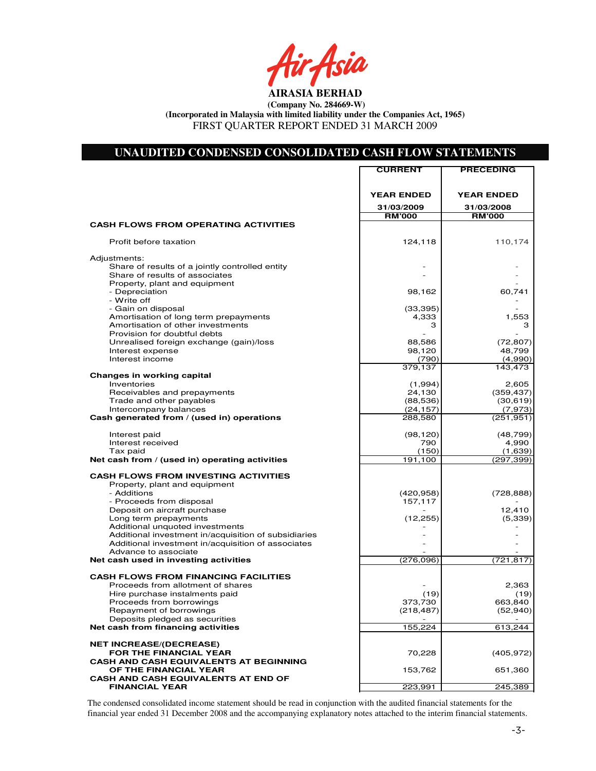r Asia

# **UNAUDITED CONDENSED CONSOLIDATED CASH FLOW STATEMENTS**

|                                                                                                            | <b>CURRENT</b>         | <b>PRECEDING</b>      |
|------------------------------------------------------------------------------------------------------------|------------------------|-----------------------|
|                                                                                                            |                        |                       |
|                                                                                                            |                        |                       |
|                                                                                                            | <b>YEAR ENDED</b>      | <b>YEAR ENDED</b>     |
|                                                                                                            | 31/03/2009             | 31/03/2008            |
|                                                                                                            | <b>RM'000</b>          | <b>RM'000</b>         |
| <b>CASH FLOWS FROM OPERATING ACTIVITIES</b>                                                                |                        |                       |
| Profit before taxation                                                                                     | 124,118                | 110,174               |
| Adjustments:                                                                                               |                        |                       |
| Share of results of a jointly controlled entity                                                            |                        |                       |
| Share of results of associates                                                                             |                        |                       |
| Property, plant and equipment<br>- Depreciation                                                            |                        |                       |
| - Write off                                                                                                | 98,162                 | 60,741                |
| - Gain on disposal                                                                                         | (33, 395)              |                       |
| Amortisation of long term prepayments                                                                      | 4,333                  | 1,553                 |
| Amortisation of other investments                                                                          | З                      | З                     |
| Provision for doubtful debts                                                                               |                        |                       |
| Unrealised foreign exchange (gain)/loss                                                                    | 88,586                 | (72, 807)             |
| Interest expense                                                                                           | 98,120                 | 48,799                |
| Interest income                                                                                            | (790)                  | (4,990)               |
|                                                                                                            | 379,137                | 143, 473              |
| Changes in working capital                                                                                 |                        |                       |
| Inventories                                                                                                | (1,994)                | 2,605                 |
| Receivables and prepayments                                                                                | 24,130                 | (359, 437)            |
| Trade and other payables<br>Intercompany balances                                                          | (88, 536)<br>(24, 157) | (30, 619)             |
| Cash generated from / (used in) operations                                                                 | 288,580                | (7,973)<br>(251, 951) |
|                                                                                                            |                        |                       |
| Interest paid                                                                                              | (98, 120)              | (48, 799)             |
| Interest received                                                                                          | 790                    | 4,990                 |
| Tax paid                                                                                                   | (150)                  | (1,639)               |
| Net cash from / (used in) operating activities                                                             | 191,100                | (297, 399)            |
| <b>CASH FLOWS FROM INVESTING ACTIVITIES</b>                                                                |                        |                       |
| Property, plant and equipment                                                                              |                        |                       |
| - Additions                                                                                                | (420, 958)             | (728, 888)            |
| - Proceeds from disposal                                                                                   | 157,117                |                       |
| Deposit on aircraft purchase                                                                               |                        | 12,410                |
| Long term prepayments                                                                                      | (12, 255)              | (5,339)               |
| Additional unquoted investments                                                                            |                        |                       |
| Additional investment in/acquisition of subsidiaries<br>Additional investment in/acquisition of associates |                        |                       |
| Advance to associate                                                                                       |                        |                       |
| Net cash used in investing activities                                                                      | (276, 096)             | (721,817)             |
|                                                                                                            |                        |                       |
| <b>CASH FLOWS FROM FINANCING FACILITIES</b>                                                                |                        |                       |
| Proceeds from allotment of shares                                                                          |                        | 2,363                 |
| Hire purchase instalments paid                                                                             | (19)                   | (19)                  |
| Proceeds from borrowings                                                                                   | 373,730                | 663,840               |
| Repayment of borrowings<br>Deposits pledged as securities                                                  | (218, 487)             | (52, 940)             |
| Net cash from financing activities                                                                         | 155,224                | 613,244               |
|                                                                                                            |                        |                       |
| <b>NET INCREASE/(DECREASE)</b>                                                                             |                        |                       |
| <b>FOR THE FINANCIAL YEAR</b>                                                                              | 70,228                 | (405, 972)            |
| <b>CASH AND CASH EQUIVALENTS AT BEGINNING</b>                                                              |                        |                       |
| OF THE FINANCIAL YEAR                                                                                      | 153,762                | 651,360               |
| <b>CASH AND CASH EQUIVALENTS AT END OF</b>                                                                 |                        |                       |
| <b>FINANCIAL YEAR</b>                                                                                      | 223,991                | 245,389               |

The condensed consolidated income statement should be read in conjunction with the audited financial statements for the financial year ended 31 December 2008 and the accompanying explanatory notes attached to the interim financial statements.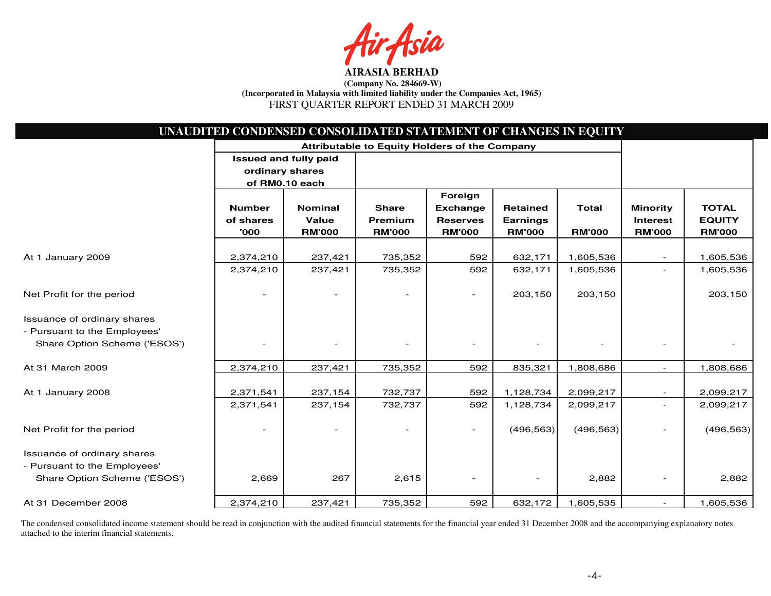sia

|                              | UNAUDITED CONDENSED CONSOLIDATED STATEMENT OF CHANGES IN EQUITY |                                               |               |                          |                 |               |                          |               |
|------------------------------|-----------------------------------------------------------------|-----------------------------------------------|---------------|--------------------------|-----------------|---------------|--------------------------|---------------|
|                              |                                                                 | Attributable to Equity Holders of the Company |               |                          |                 |               |                          |               |
|                              | <b>Issued and fully paid</b>                                    |                                               |               |                          |                 |               |                          |               |
|                              | ordinary shares                                                 |                                               |               |                          |                 |               |                          |               |
|                              | of RM0.10 each                                                  |                                               |               |                          |                 |               |                          |               |
|                              |                                                                 |                                               |               | Foreign                  |                 |               |                          |               |
|                              | <b>Number</b>                                                   | <b>Nominal</b>                                | <b>Share</b>  | <b>Exchange</b>          | <b>Retained</b> | <b>Total</b>  | <b>Minority</b>          | <b>TOTAL</b>  |
|                              | of shares                                                       | Value                                         | Premium       | <b>Reserves</b>          | <b>Earnings</b> |               | <b>Interest</b>          | <b>EQUITY</b> |
|                              | '000                                                            | <b>RM'000</b>                                 | <b>RM'000</b> | <b>RM'000</b>            | <b>RM'000</b>   | <b>RM'000</b> | <b>RM'000</b>            | <b>RM'000</b> |
| At 1 January 2009            | 2,374,210                                                       | 237,421                                       | 735,352       | 592                      | 632,171         | 1,605,536     |                          | 1,605,536     |
|                              | 2,374,210                                                       | 237,421                                       | 735,352       | 592                      | 632,171         | 1,605,536     |                          | 1,605,536     |
|                              |                                                                 |                                               |               |                          |                 |               |                          |               |
| Net Profit for the period    |                                                                 |                                               |               | $\overline{\phantom{a}}$ | 203,150         | 203,150       |                          | 203,150       |
| Issuance of ordinary shares  |                                                                 |                                               |               |                          |                 |               |                          |               |
| - Pursuant to the Employees' |                                                                 |                                               |               |                          |                 |               |                          |               |
| Share Option Scheme ('ESOS') |                                                                 |                                               |               |                          |                 |               |                          |               |
| At 31 March 2009             | 2,374,210                                                       | 237,421                                       | 735,352       | 592                      | 835,321         | 1,808,686     | $\overline{\phantom{a}}$ | 1,808,686     |
|                              |                                                                 |                                               |               |                          |                 |               |                          |               |
| At 1 January 2008            | 2,371,541                                                       | 237,154                                       | 732,737       | 592                      | 1,128,734       | 2,099,217     | $\overline{\phantom{a}}$ | 2,099,217     |
|                              | 2,371,541                                                       | 237,154                                       | 732,737       | 592                      | 1,128,734       | 2,099,217     | $\overline{\phantom{0}}$ | 2,099,217     |
| Net Profit for the period    |                                                                 |                                               |               | $\sim$                   | (496, 563)      | (496, 563)    | $\overline{\phantom{0}}$ | (496, 563)    |
| Issuance of ordinary shares  |                                                                 |                                               |               |                          |                 |               |                          |               |
| - Pursuant to the Employees' |                                                                 |                                               |               |                          |                 |               |                          |               |
| Share Option Scheme ('ESOS') | 2,669                                                           | 267                                           | 2,615         |                          |                 | 2,882         | $\overline{\phantom{0}}$ | 2,882         |
| At 31 December 2008          | 2,374,210                                                       | 237,421                                       | 735,352       | 592                      | 632,172         | 1,605,535     | $\overline{\phantom{a}}$ | 1,605,536     |

The condensed consolidated income statement should be read in conjunction with the audited financial statements for the financial year ended 31 December 2008 and the accompanying explanatory notes attached to the interim financial statements.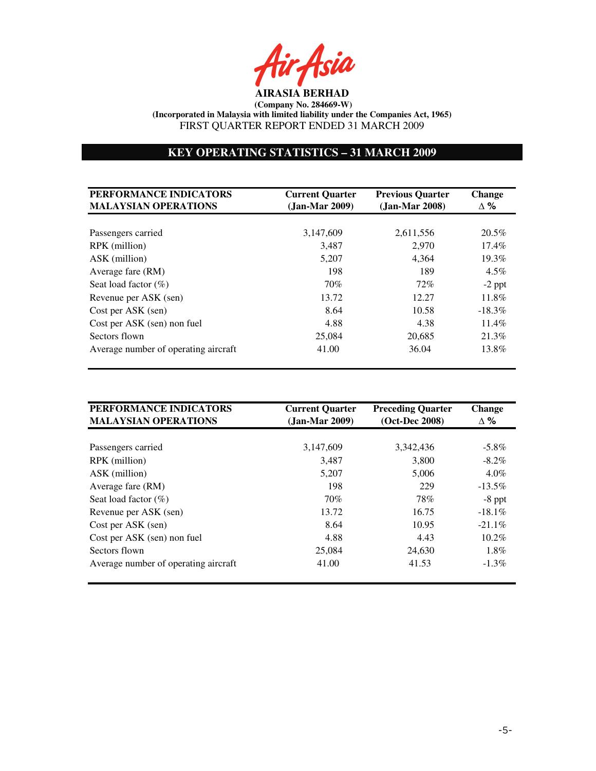r Asia

# **KEY OPERATING STATISTICS – 31 MARCH 2009**

| PERFORMANCE INDICATORS<br><b>MALAYSIAN OPERATIONS</b> | <b>Current Quarter</b><br>(Jan-Mar 2009) | <b>Previous Quarter</b><br>$(Jan-Mar 2008)$ | Change<br>$\Delta \%$ |
|-------------------------------------------------------|------------------------------------------|---------------------------------------------|-----------------------|
|                                                       |                                          |                                             |                       |
| Passengers carried                                    | 3,147,609                                | 2,611,556                                   | $20.5\%$              |
| RPK (million)                                         | 3,487                                    | 2.970                                       | $17.4\%$              |
| ASK (million)                                         | 5,207                                    | 4.364                                       | $19.3\%$              |
| Average fare (RM)                                     | 198                                      | 189                                         | $4.5\%$               |
| Seat load factor $(\%)$                               | 70%                                      | 72%                                         | $-2$ ppt              |
| Revenue per ASK (sen)                                 | 13.72                                    | 12.27                                       | $11.8\%$              |
| Cost per ASK (sen)                                    | 8.64                                     | 10.58                                       | $-18.3\%$             |
| Cost per ASK (sen) non fuel                           | 4.88                                     | 4.38                                        | $11.4\%$              |
| Sectors flown                                         | 25,084                                   | 20,685                                      | 21.3%                 |
| Average number of operating aircraft                  | 41.00                                    | 36.04                                       | 13.8%                 |

| PERFORMANCE INDICATORS<br><b>MALAYSIAN OPERATIONS</b> | <b>Current Quarter</b><br>$(Jan-Mar 2009)$ | <b>Preceding Quarter</b><br>(Oct-Dec 2008) | <b>Change</b><br>$\Delta \%$ |
|-------------------------------------------------------|--------------------------------------------|--------------------------------------------|------------------------------|
|                                                       |                                            |                                            |                              |
| Passengers carried                                    | 3,147,609                                  | 3,342,436                                  | $-5.8\%$                     |
| RPK (million)                                         | 3,487                                      | 3,800                                      | $-8.2\%$                     |
| ASK (million)                                         | 5,207                                      | 5,006                                      | $4.0\%$                      |
| Average fare (RM)                                     | 198                                        | 229                                        | $-13.5\%$                    |
| Seat load factor $(\%)$                               | 70%                                        | 78%                                        | $-8$ ppt                     |
| Revenue per ASK (sen)                                 | 13.72                                      | 16.75                                      | $-18.1\%$                    |
| Cost per ASK (sen)                                    | 8.64                                       | 10.95                                      | $-21.1\%$                    |
| Cost per ASK (sen) non fuel                           | 4.88                                       | 4.43                                       | $10.2\%$                     |
| Sectors flown                                         | 25,084                                     | 24,630                                     | $1.8\%$                      |
| Average number of operating aircraft                  | 41.00                                      | 41.53                                      | $-1.3\%$                     |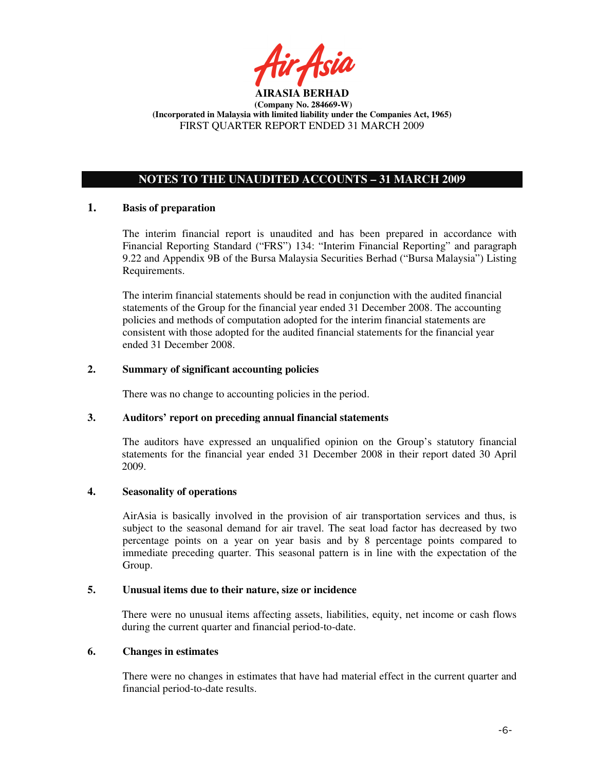

# **NOTES TO THE UNAUDITED ACCOUNTS – 31 MARCH 2009**

# **1. Basis of preparation**

The interim financial report is unaudited and has been prepared in accordance with Financial Reporting Standard ("FRS") 134: "Interim Financial Reporting" and paragraph 9.22 and Appendix 9B of the Bursa Malaysia Securities Berhad ("Bursa Malaysia") Listing Requirements.

The interim financial statements should be read in conjunction with the audited financial statements of the Group for the financial year ended 31 December 2008. The accounting policies and methods of computation adopted for the interim financial statements are consistent with those adopted for the audited financial statements for the financial year ended 31 December 2008.

# **2. Summary of significant accounting policies**

There was no change to accounting policies in the period.

# **3. Auditors' report on preceding annual financial statements**

The auditors have expressed an unqualified opinion on the Group's statutory financial statements for the financial year ended 31 December 2008 in their report dated 30 April 2009.

# **4. Seasonality of operations**

AirAsia is basically involved in the provision of air transportation services and thus, is subject to the seasonal demand for air travel. The seat load factor has decreased by two percentage points on a year on year basis and by 8 percentage points compared to immediate preceding quarter. This seasonal pattern is in line with the expectation of the Group.

# **5. Unusual items due to their nature, size or incidence**

There were no unusual items affecting assets, liabilities, equity, net income or cash flows during the current quarter and financial period-to-date.

# **6. Changes in estimates**

There were no changes in estimates that have had material effect in the current quarter and financial period-to-date results.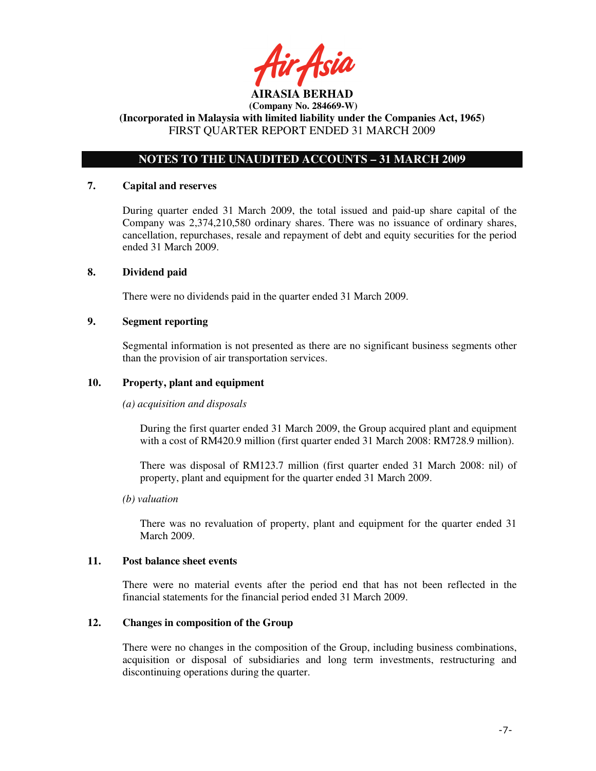tir Asia

# **NOTES TO THE UNAUDITED ACCOUNTS – 31 MARCH 2009**

#### **7. Capital and reserves**

During quarter ended 31 March 2009, the total issued and paid-up share capital of the Company was 2,374,210,580 ordinary shares. There was no issuance of ordinary shares, cancellation, repurchases, resale and repayment of debt and equity securities for the period ended 31 March 2009.

# **8. Dividend paid**

There were no dividends paid in the quarter ended 31 March 2009.

# **9. Segment reporting**

Segmental information is not presented as there are no significant business segments other than the provision of air transportation services.

### **10. Property, plant and equipment**

#### *(a) acquisition and disposals*

During the first quarter ended 31 March 2009, the Group acquired plant and equipment with a cost of RM420.9 million (first quarter ended 31 March 2008: RM728.9 million).

There was disposal of RM123.7 million (first quarter ended 31 March 2008: nil) of property, plant and equipment for the quarter ended 31 March 2009.

#### *(b) valuation*

 There was no revaluation of property, plant and equipment for the quarter ended 31 March 2009.

#### **11. Post balance sheet events**

There were no material events after the period end that has not been reflected in the financial statements for the financial period ended 31 March 2009.

# **12. Changes in composition of the Group**

There were no changes in the composition of the Group, including business combinations, acquisition or disposal of subsidiaries and long term investments, restructuring and discontinuing operations during the quarter.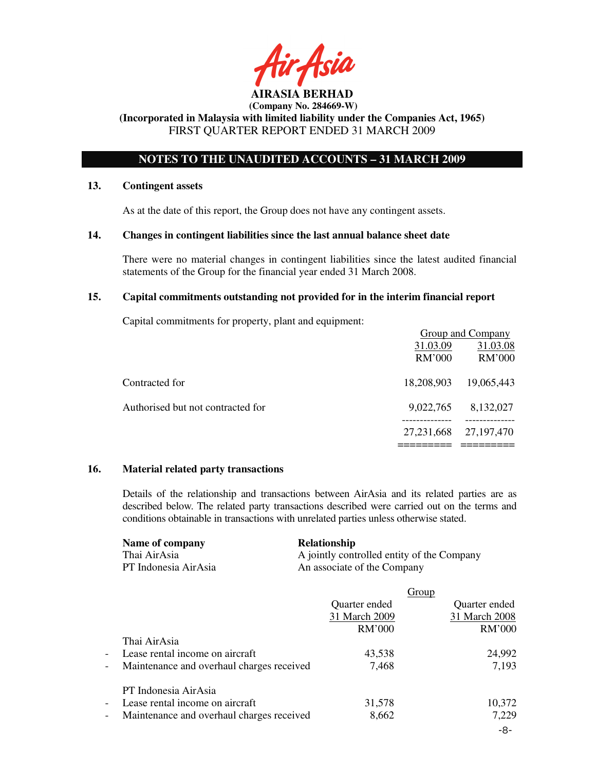# **NOTES TO THE UNAUDITED ACCOUNTS – 31 MARCH 2009**

### **13. Contingent assets**

As at the date of this report, the Group does not have any contingent assets.

### **14. Changes in contingent liabilities since the last annual balance sheet date**

There were no material changes in contingent liabilities since the latest audited financial statements of the Group for the financial year ended 31 March 2008.

### **15. Capital commitments outstanding not provided for in the interim financial report**

Capital commitments for property, plant and equipment:

|                                   | Group and Company |              |
|-----------------------------------|-------------------|--------------|
|                                   | 31.03.09          | 31.03.08     |
|                                   | <b>RM'000</b>     | RM'000       |
| Contracted for                    | 18,208,903        | 19,065,443   |
| Authorised but not contracted for | 9,022,765         | 8,132,027    |
|                                   | 27, 231, 668      | 27, 197, 470 |
|                                   |                   |              |

#### **16. Material related party transactions**

Details of the relationship and transactions between AirAsia and its related parties are as described below. The related party transactions described were carried out on the terms and conditions obtainable in transactions with unrelated parties unless otherwise stated.

| Name of company      | <b>Relationship</b>                        |
|----------------------|--------------------------------------------|
| Thai AirAsia         | A jointly controlled entity of the Company |
| PT Indonesia AirAsia | An associate of the Company                |

|                          |                                           |               | <b>Group</b>  |
|--------------------------|-------------------------------------------|---------------|---------------|
|                          |                                           | Quarter ended | Quarter ended |
|                          |                                           | 31 March 2009 | 31 March 2008 |
|                          |                                           | <b>RM'000</b> | <b>RM'000</b> |
|                          | Thai AirAsia                              |               |               |
| $\overline{\phantom{a}}$ | Lease rental income on aircraft           | 43,538        | 24,992        |
| $\overline{\phantom{a}}$ | Maintenance and overhaul charges received | 7,468         | 7,193         |
|                          | PT Indonesia AirAsia                      |               |               |
| $\overline{\phantom{a}}$ | Lease rental income on aircraft           | 31,578        | 10,372        |
| $\overline{\phantom{a}}$ | Maintenance and overhaul charges received | 8,662         | 7,229         |
|                          |                                           |               | -8-           |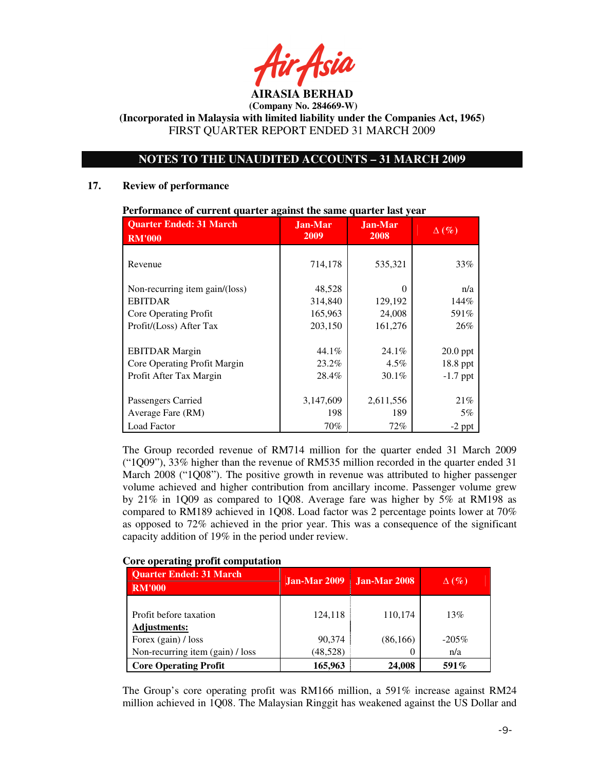# **NOTES TO THE UNAUDITED ACCOUNTS – 31 MARCH 2009**

#### **17. Review of performance**

| <b>Quarter Ended: 31 March</b> | <b>Jan-Mar</b> | <b>Jan-Mar</b> | $\Delta(\%)$ |  |
|--------------------------------|----------------|----------------|--------------|--|
| <b>RM'000</b>                  | 2009           | 2008           |              |  |
| Revenue                        | 714,178        | 535,321        | 33%          |  |
| Non-recurring item gain/(loss) | 48,528         | 0              | n/a          |  |
| <b>EBITDAR</b>                 | 314,840        | 129,192        | 144%         |  |
| Core Operating Profit          | 165,963        | 24,008         | 591%         |  |
| Profit/(Loss) After Tax        | 203,150        | 161,276        | 26%          |  |
|                                |                |                |              |  |
| <b>EBITDAR</b> Margin          | $44.1\%$       | $24.1\%$       | $20.0$ ppt   |  |
| Core Operating Profit Margin   | 23.2%          | $4.5\%$        | 18.8 ppt     |  |
| Profit After Tax Margin        | 28.4%          | $30.1\%$       | $-1.7$ ppt   |  |
|                                |                |                |              |  |
| Passengers Carried             | 3,147,609      | 2,611,556      | 21%          |  |
| Average Fare (RM)              | 198            | 189            | 5%           |  |
| Load Factor                    | 70%            | $72\%$         | $-2$ ppt     |  |

#### **Performance of current quarter against the same quarter last year**

The Group recorded revenue of RM714 million for the quarter ended 31 March 2009 ("1Q09"), 33% higher than the revenue of RM535 million recorded in the quarter ended 31 March 2008 ("1Q08"). The positive growth in revenue was attributed to higher passenger volume achieved and higher contribution from ancillary income. Passenger volume grew by 21% in 1Q09 as compared to 1Q08. Average fare was higher by 5% at RM198 as compared to RM189 achieved in 1Q08. Load factor was 2 percentage points lower at 70% as opposed to 72% achieved in the prior year. This was a consequence of the significant capacity addition of 19% in the period under review.

# **Core operating profit computation**

| <b>Quarter Ended: 31 March</b><br><b>RM'000</b> | Jan-Mar 2009 | Jan-Mar 2008 | $\Delta(\%)$ |
|-------------------------------------------------|--------------|--------------|--------------|
| Profit before taxation<br><b>Adjustments:</b>   | 124,118      | 110,174      | 13%          |
| Forex (gain) / loss                             | 90.374       | (86, 166)    | $-205\%$     |
| Non-recurring item (gain) / loss                | (48, 528)    |              | n/a          |
| <b>Core Operating Profit</b>                    | 165,963      | 24.008       | 591\%        |

The Group's core operating profit was RM166 million, a 591% increase against RM24 million achieved in 1Q08. The Malaysian Ringgit has weakened against the US Dollar and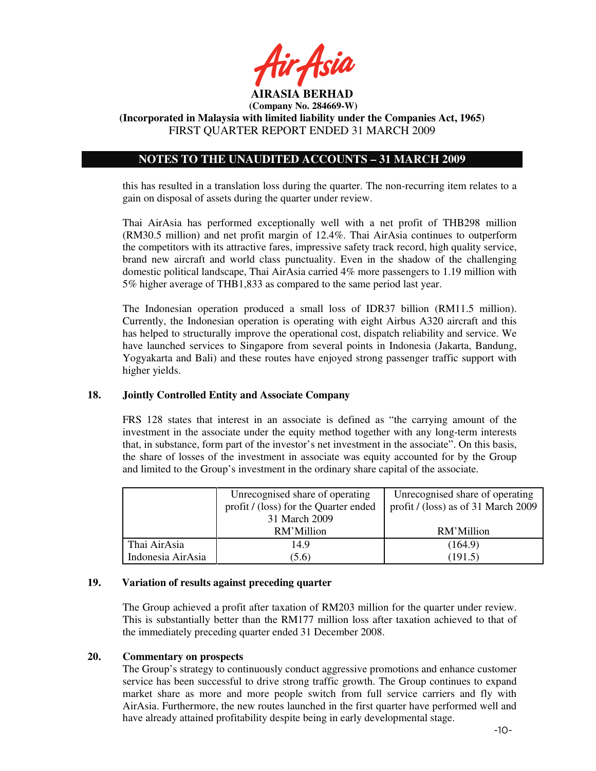

 **(Company No. 284669-W)** 

**(Incorporated in Malaysia with limited liability under the Companies Act, 1965)**  FIRST QUARTER REPORT ENDED 31 MARCH 2009

# **NOTES TO THE UNAUDITED ACCOUNTS – 31 MARCH 2009**

this has resulted in a translation loss during the quarter. The non-recurring item relates to a gain on disposal of assets during the quarter under review.

Thai AirAsia has performed exceptionally well with a net profit of THB298 million (RM30.5 million) and net profit margin of 12.4%. Thai AirAsia continues to outperform the competitors with its attractive fares, impressive safety track record, high quality service, brand new aircraft and world class punctuality. Even in the shadow of the challenging domestic political landscape, Thai AirAsia carried 4% more passengers to 1.19 million with 5% higher average of THB1,833 as compared to the same period last year.

The Indonesian operation produced a small loss of IDR37 billion (RM11.5 million). Currently, the Indonesian operation is operating with eight Airbus A320 aircraft and this has helped to structurally improve the operational cost, dispatch reliability and service. We have launched services to Singapore from several points in Indonesia (Jakarta, Bandung, Yogyakarta and Bali) and these routes have enjoyed strong passenger traffic support with higher yields.

#### **18. Jointly Controlled Entity and Associate Company**

FRS 128 states that interest in an associate is defined as "the carrying amount of the investment in the associate under the equity method together with any long-term interests that, in substance, form part of the investor's net investment in the associate". On this basis, the share of losses of the investment in associate was equity accounted for by the Group and limited to the Group's investment in the ordinary share capital of the associate.

|                                       | Unrecognised share of operating | Unrecognised share of operating     |
|---------------------------------------|---------------------------------|-------------------------------------|
| profit / (loss) for the Quarter ended |                                 | profit / (loss) as of 31 March 2009 |
|                                       | 31 March 2009                   |                                     |
|                                       | RM'Million                      | RM'Million                          |
| Thai AirAsia                          | 14.9                            | (164.9)                             |
| Indonesia AirAsia                     | (5.6)                           | (191.5)                             |

### **19. Variation of results against preceding quarter**

The Group achieved a profit after taxation of RM203 million for the quarter under review. This is substantially better than the RM177 million loss after taxation achieved to that of the immediately preceding quarter ended 31 December 2008.

# **20. Commentary on prospects**

The Group's strategy to continuously conduct aggressive promotions and enhance customer service has been successful to drive strong traffic growth. The Group continues to expand market share as more and more people switch from full service carriers and fly with AirAsia. Furthermore, the new routes launched in the first quarter have performed well and have already attained profitability despite being in early developmental stage.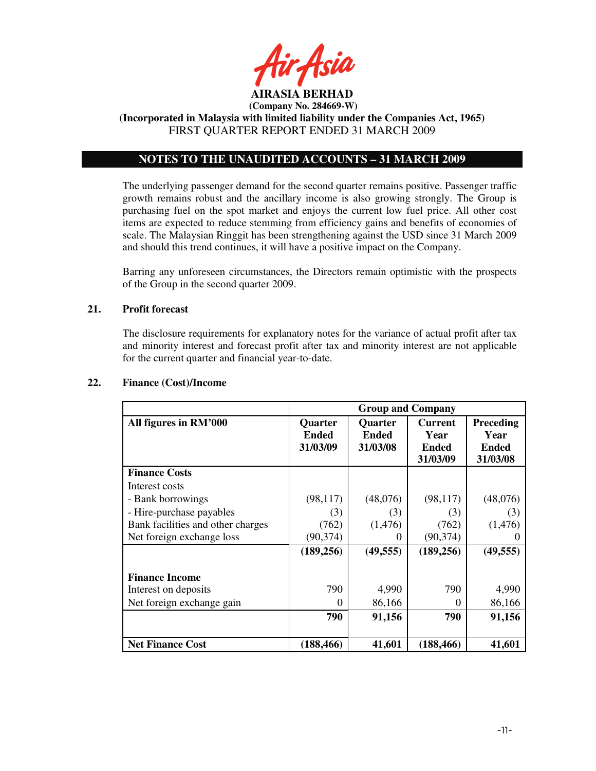

 **(Company No. 284669-W)** 

**(Incorporated in Malaysia with limited liability under the Companies Act, 1965)**  FIRST QUARTER REPORT ENDED 31 MARCH 2009

# **NOTES TO THE UNAUDITED ACCOUNTS – 31 MARCH 2009**

The underlying passenger demand for the second quarter remains positive. Passenger traffic growth remains robust and the ancillary income is also growing strongly. The Group is purchasing fuel on the spot market and enjoys the current low fuel price. All other cost items are expected to reduce stemming from efficiency gains and benefits of economies of scale. The Malaysian Ringgit has been strengthening against the USD since 31 March 2009 and should this trend continues, it will have a positive impact on the Company.

Barring any unforeseen circumstances, the Directors remain optimistic with the prospects of the Group in the second quarter 2009.

# **21. Profit forecast**

The disclosure requirements for explanatory notes for the variance of actual profit after tax and minority interest and forecast profit after tax and minority interest are not applicable for the current quarter and financial year-to-date.

|                                   | <b>Group and Company</b> |                |                |                  |
|-----------------------------------|--------------------------|----------------|----------------|------------------|
| All figures in RM'000             | <b>Quarter</b>           | <b>Quarter</b> | <b>Current</b> | <b>Preceding</b> |
|                                   | <b>Ended</b>             | <b>Ended</b>   | Year           | Year             |
|                                   | 31/03/09                 | 31/03/08       | <b>Ended</b>   | <b>Ended</b>     |
|                                   |                          |                | 31/03/09       | 31/03/08         |
| <b>Finance Costs</b>              |                          |                |                |                  |
| Interest costs                    |                          |                |                |                  |
| - Bank borrowings                 | (98, 117)                | (48,076)       | (98, 117)      | (48,076)         |
| - Hire-purchase payables          | (3)                      | (3)            | (3)            | (3)              |
| Bank facilities and other charges | (762)                    | (1, 476)       | (762)          | (1,476)          |
| Net foreign exchange loss         | (90, 374)                | $\theta$       | (90, 374)      |                  |
|                                   | (189, 256)               | (49, 555)      | (189, 256)     | (49, 555)        |
| <b>Finance Income</b>             |                          |                |                |                  |
| Interest on deposits              | 790                      | 4,990          | 790            | 4,990            |
| Net foreign exchange gain         | $\Omega$                 | 86,166         | 0              | 86,166           |
|                                   | 790                      | 91,156         | 790            | 91,156           |
| <b>Net Finance Cost</b>           | (188, 466)               | 41,601         | (188, 466)     | 41,601           |

# **22. Finance (Cost)/Income**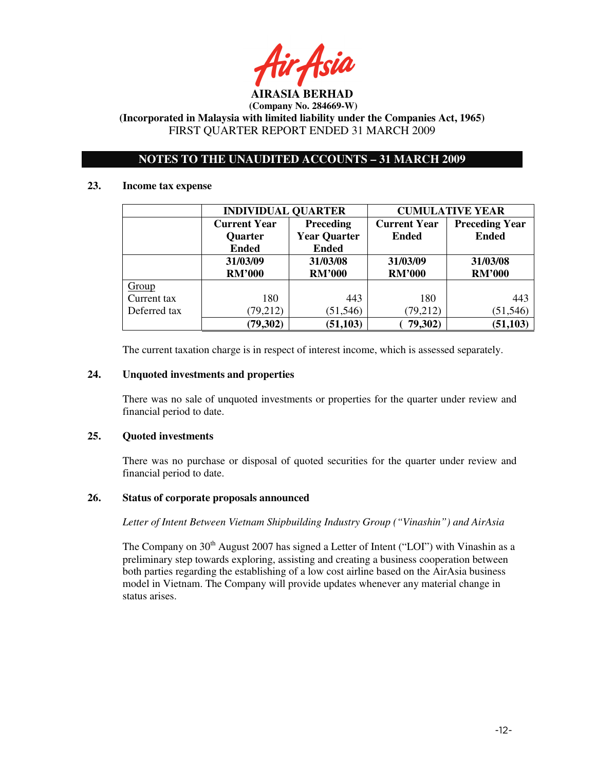# **NOTES TO THE UNAUDITED ACCOUNTS – 31 MARCH 2009**

#### **23. Income tax expense**

|              | <b>INDIVIDUAL QUARTER</b> |                     | <b>CUMULATIVE YEAR</b> |                       |  |
|--------------|---------------------------|---------------------|------------------------|-----------------------|--|
|              | <b>Current Year</b>       | <b>Preceding</b>    | <b>Current Year</b>    | <b>Preceding Year</b> |  |
|              | Quarter                   | <b>Year Quarter</b> | <b>Ended</b>           | <b>Ended</b>          |  |
|              | <b>Ended</b>              | <b>Ended</b>        |                        |                       |  |
|              | 31/03/09                  | 31/03/08            | 31/03/09               | 31/03/08              |  |
|              | <b>RM'000</b>             | <b>RM'000</b>       | <b>RM'000</b>          | <b>RM'000</b>         |  |
| Group        |                           |                     |                        |                       |  |
| Current tax  | 180                       | 443                 | 180                    | 443                   |  |
| Deferred tax | (79, 212)                 | (51, 546)           | (79, 212)              | (51, 546)             |  |
|              | (79, 302)                 | (51, 103)           | 79,302)                | (51, 103)             |  |

The current taxation charge is in respect of interest income, which is assessed separately.

# **24. Unquoted investments and properties**

There was no sale of unquoted investments or properties for the quarter under review and financial period to date.

# **25. Quoted investments**

There was no purchase or disposal of quoted securities for the quarter under review and financial period to date.

# **26. Status of corporate proposals announced**

*Letter of Intent Between Vietnam Shipbuilding Industry Group ("Vinashin") and AirAsia* 

The Company on  $30<sup>th</sup>$  August 2007 has signed a Letter of Intent ("LOI") with Vinashin as a preliminary step towards exploring, assisting and creating a business cooperation between both parties regarding the establishing of a low cost airline based on the AirAsia business model in Vietnam. The Company will provide updates whenever any material change in status arises.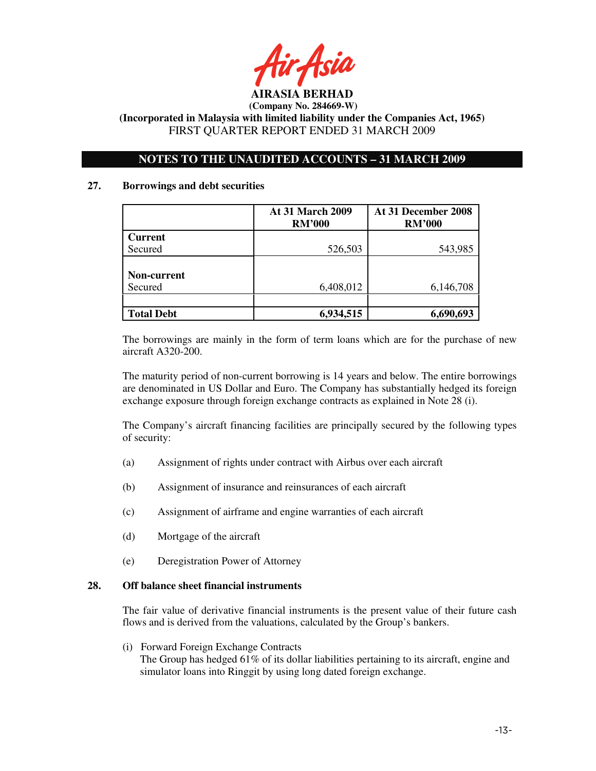

# **NOTES TO THE UNAUDITED ACCOUNTS – 31 MARCH 2009**

### **27. Borrowings and debt securities**

|                   | <b>At 31 March 2009</b><br><b>RM'000</b> | At 31 December 2008<br><b>RM'000</b> |
|-------------------|------------------------------------------|--------------------------------------|
| <b>Current</b>    |                                          |                                      |
| Secured           | 526,503                                  | 543,985                              |
|                   |                                          |                                      |
| Non-current       |                                          |                                      |
| Secured           | 6,408,012                                | 6,146,708                            |
|                   |                                          |                                      |
| <b>Total Debt</b> | 6,934,515                                | ,693<br>6,690                        |

The borrowings are mainly in the form of term loans which are for the purchase of new aircraft A320-200.

The maturity period of non-current borrowing is 14 years and below. The entire borrowings are denominated in US Dollar and Euro. The Company has substantially hedged its foreign exchange exposure through foreign exchange contracts as explained in Note 28 (i).

The Company's aircraft financing facilities are principally secured by the following types of security:

- (a) Assignment of rights under contract with Airbus over each aircraft
- (b) Assignment of insurance and reinsurances of each aircraft
- (c) Assignment of airframe and engine warranties of each aircraft
- (d) Mortgage of the aircraft
- (e) Deregistration Power of Attorney

### **28. Off balance sheet financial instruments**

 The fair value of derivative financial instruments is the present value of their future cash flows and is derived from the valuations, calculated by the Group's bankers.

 (i) Forward Foreign Exchange Contracts The Group has hedged 61% of its dollar liabilities pertaining to its aircraft, engine and simulator loans into Ringgit by using long dated foreign exchange.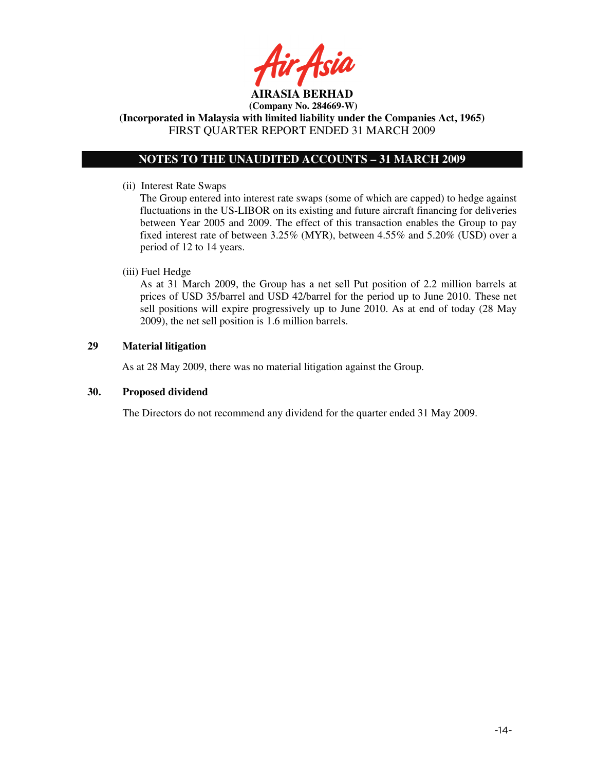**AIRASIA BERHAD** 

 **(Company No. 284669-W)** 

**(Incorporated in Malaysia with limited liability under the Companies Act, 1965)**  FIRST QUARTER REPORT ENDED 31 MARCH 2009

# **NOTES TO THE UNAUDITED ACCOUNTS – 31 MARCH 2009**

(ii) Interest Rate Swaps

The Group entered into interest rate swaps (some of which are capped) to hedge against fluctuations in the US-LIBOR on its existing and future aircraft financing for deliveries between Year 2005 and 2009. The effect of this transaction enables the Group to pay fixed interest rate of between 3.25% (MYR), between 4.55% and 5.20% (USD) over a period of 12 to 14 years.

# (iii) Fuel Hedge

As at 31 March 2009, the Group has a net sell Put position of 2.2 million barrels at prices of USD 35/barrel and USD 42/barrel for the period up to June 2010. These net sell positions will expire progressively up to June 2010. As at end of today (28 May 2009), the net sell position is 1.6 million barrels.

# **29 Material litigation**

As at 28 May 2009, there was no material litigation against the Group.

# **30. Proposed dividend**

The Directors do not recommend any dividend for the quarter ended 31 May 2009.